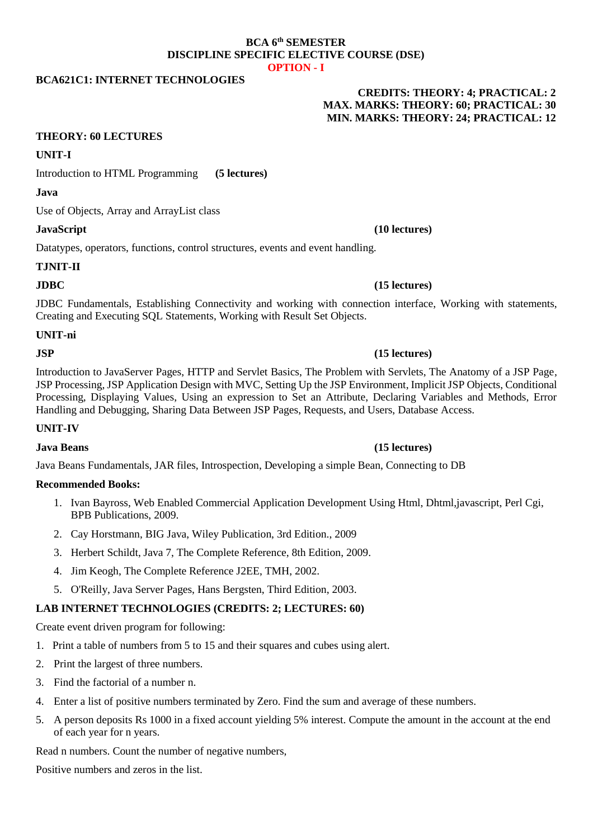### **BCA 6th SEMESTER DISCIPLINE SPECIFIC ELECTIVE COURSE (DSE) OPTION - I**

# **BCA621C1: INTERNET TECHNOLOGIES**

## **CREDITS: THEORY: 4; PRACTICAL: 2 MAX. MARKS: THEORY: 60; PRACTICAL: 30 MIN. MARKS: THEORY: 24; PRACTICAL: 12**

## **THEORY: 60 LECTURES**

## **UNIT-I**

Introduction to HTML Programming **(5 lectures)**

### **Java**

Use of Objects, Array and ArrayList class

Datatypes, operators, functions, control structures, events and event handling.

## **TJNIT-II**

## **JDBC (15 lectures)**

JDBC Fundamentals, Establishing Connectivity and working with connection interface, Working with statements, Creating and Executing SQL Statements, Working with Result Set Objects.

## **UNIT-ni**

## **JSP (15 lectures)**

Introduction to JavaServer Pages, HTTP and Servlet Basics, The Problem with Servlets, The Anatomy of a JSP Page, JSP Processing, JSP Application Design with MVC, Setting Up the JSP Environment, Implicit JSP Objects, Conditional Processing, Displaying Values, Using an expression to Set an Attribute, Declaring Variables and Methods, Error Handling and Debugging, Sharing Data Between JSP Pages, Requests, and Users, Database Access.

## **UNIT-IV**

## **Java Beans (15 lectures)**

Java Beans Fundamentals, JAR files, Introspection, Developing a simple Bean, Connecting to DB

### **Recommended Books:**

- 1. Ivan Bayross, Web Enabled Commercial Application Development Using Html, Dhtml,javascript, Perl Cgi, BPB Publications, 2009.
- 2. Cay Horstmann, BIG Java, Wiley Publication, 3rd Edition., 2009
- 3. Herbert Schildt, Java 7, The Complete Reference, 8th Edition, 2009.
- 4. Jim Keogh, The Complete Reference J2EE, TMH, 2002.
- 5. O'Reilly, Java Server Pages, Hans Bergsten, Third Edition, 2003.

## **LAB INTERNET TECHNOLOGIES (CREDITS: 2; LECTURES: 60)**

Create event driven program for following:

- 1. Print a table of numbers from 5 to 15 and their squares and cubes using alert.
- 2. Print the largest of three numbers.
- 3. Find the factorial of a number n.
- 4. Enter a list of positive numbers terminated by Zero. Find the sum and average of these numbers.
- 5. A person deposits Rs 1000 in a fixed account yielding 5% interest. Compute the amount in the account at the end of each year for n years.

Read n numbers. Count the number of negative numbers,

Positive numbers and zeros in the list.

# **JavaScript (10 lectures)**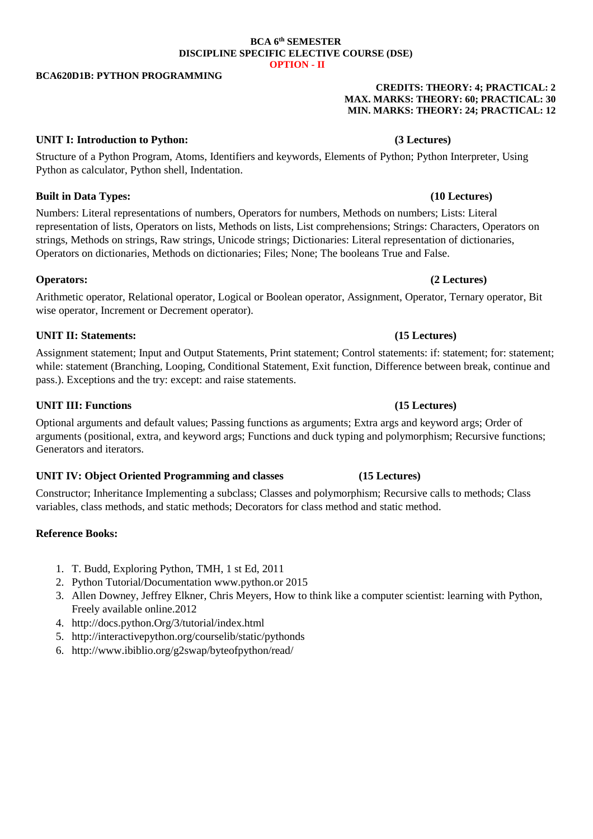### **BCA 6th SEMESTER DISCIPLINE SPECIFIC ELECTIVE COURSE (DSE) OPTION - II**

### **BCA620D1B: PYTHON PROGRAMMING**

### **CREDITS: THEORY: 4; PRACTICAL: 2 MAX. MARKS: THEORY: 60; PRACTICAL: 30 MIN. MARKS: THEORY: 24; PRACTICAL: 12**

## **UNIT I: Introduction to Python: (3 Lectures)**

Structure of a Python Program, Atoms, Identifiers and keywords, Elements of Python; Python Interpreter, Using Python as calculator, Python shell, Indentation.

## **Built in Data Types: (10 Lectures)**

Numbers: Literal representations of numbers, Operators for numbers, Methods on numbers; Lists: Literal representation of lists, Operators on lists, Methods on lists, List comprehensions; Strings: Characters, Operators on strings, Methods on strings, Raw strings, Unicode strings; Dictionaries: Literal representation of dictionaries, Operators on dictionaries, Methods on dictionaries; Files; None; The booleans True and False.

## **Operators: (2 Lectures)**

Arithmetic operator, Relational operator, Logical or Boolean operator, Assignment, Operator, Ternary operator, Bit wise operator, Increment or Decrement operator).

## **UNIT II: Statements: (15 Lectures)**

Assignment statement; Input and Output Statements, Print statement; Control statements: if: statement; for: statement; while: statement (Branching, Looping, Conditional Statement, Exit function, Difference between break, continue and pass.). Exceptions and the try: except: and raise statements.

## **UNIT III: Functions (15 Lectures)**

Optional arguments and default values; Passing functions as arguments; Extra args and keyword args; Order of arguments (positional, extra, and keyword args; Functions and duck typing and polymorphism; Recursive functions; Generators and iterators.

## **UNIT IV: Object Oriented Programming and classes (15 Lectures)**

Constructor; Inheritance Implementing a subclass; Classes and polymorphism; Recursive calls to methods; Class variables, class methods, and static methods; Decorators for class method and static method.

## **Reference Books:**

- 1. T. Budd, Exploring Python, TMH, 1 st Ed, 2011
- 2. Python Tutorial/Documentation [www.python.or](http://www.python.or/) 2015
- 3. Allen Downey, Jeffrey Elkner, Chris Meyers, How to think like a computer scientist: learning with Python, Freely available online.2012
- 4. [http://docs.python.Org/3/tutorial/index.html](http://docs.python.org/3/tutorial/index.html)
- 5. <http://interactivepython.org/courselib/static/pythonds>
- 6. <http://www.ibiblio.org/g2swap/byteofpython/read/>